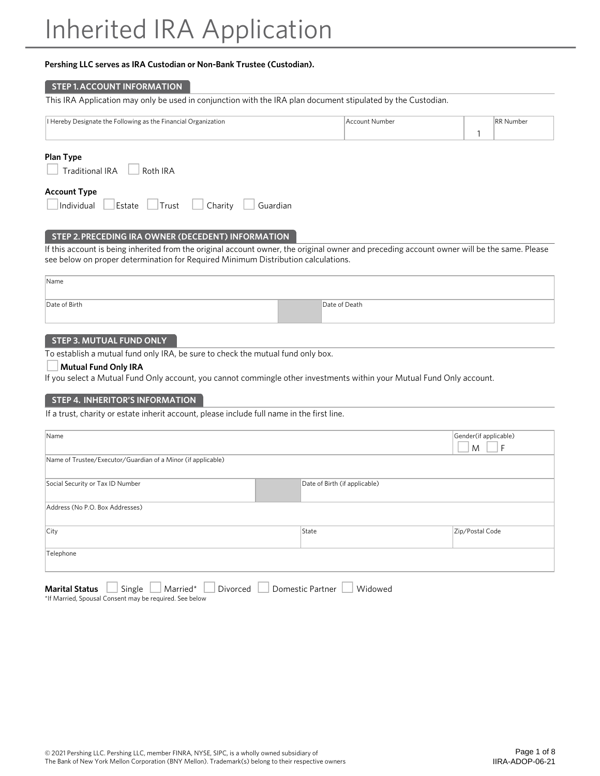# **Pershing LLC serves as IRA Custodian or Non-Bank Trustee (Custodian).**

### **STEP 1. ACCOUNT INFORMATION**

| This IRA Application may only be used in conjunction with the IRA plan document stipulated by the Custodian. |  |
|--------------------------------------------------------------------------------------------------------------|--|
|                                                                                                              |  |

| Designate the<br>e Following as the I<br>Hereby<br>'Jrganization<br>a Linghers'<br>. .<br>.<br>. .<br>ີ<br>.<br>. | ccount Number | <b>RR</b><br>lumhei |
|-------------------------------------------------------------------------------------------------------------------|---------------|---------------------|
|                                                                                                                   |               |                     |

# **Plan Type**

|  |  | <b>Traditional IRA</b> |  | Roth IRA |  |
|--|--|------------------------|--|----------|--|
|--|--|------------------------|--|----------|--|

### **Account Type**

|--|

# **STEP 2. PRECEDING IRA OWNER (DECEDENT) INFORMATION**

If this account is being inherited from the original account owner, the original owner and preceding account owner will be the same. Please see below on proper determination for Required Minimum Distribution calculations.

| Name          |               |  |
|---------------|---------------|--|
|               |               |  |
| Date of Birth | Date of Death |  |
|               |               |  |

# **STEP 3. MUTUAL FUND ONLY**

To establish a mutual fund only IRA, be sure to check the mutual fund only box.

#### **Mutual Fund Only IRA**

If you select a Mutual Fund Only account, you cannot commingle other investments within your Mutual Fund Only account.

# **STEP 4. INHERITOR'S INFORMATION**

If a trust, charity or estate inherit account, please include full name in the first line.

| Name                                                                                   |       | Gender(if applicable)<br>M |  |  |  |
|----------------------------------------------------------------------------------------|-------|----------------------------|--|--|--|
| Name of Trustee/Executor/Guardian of a Minor (if applicable)                           |       |                            |  |  |  |
| Social Security or Tax ID Number<br>Date of Birth (if applicable)                      |       |                            |  |  |  |
| Address (No P.O. Box Addresses)                                                        |       |                            |  |  |  |
| City                                                                                   | State | Zip/Postal Code            |  |  |  |
| Telephone                                                                              |       |                            |  |  |  |
| Domestic Partner<br>Married*<br>Divorced<br>Widowed<br><b>Marital Status</b><br>Single |       |                            |  |  |  |

\*If Married, Spousal Consent may be required. See below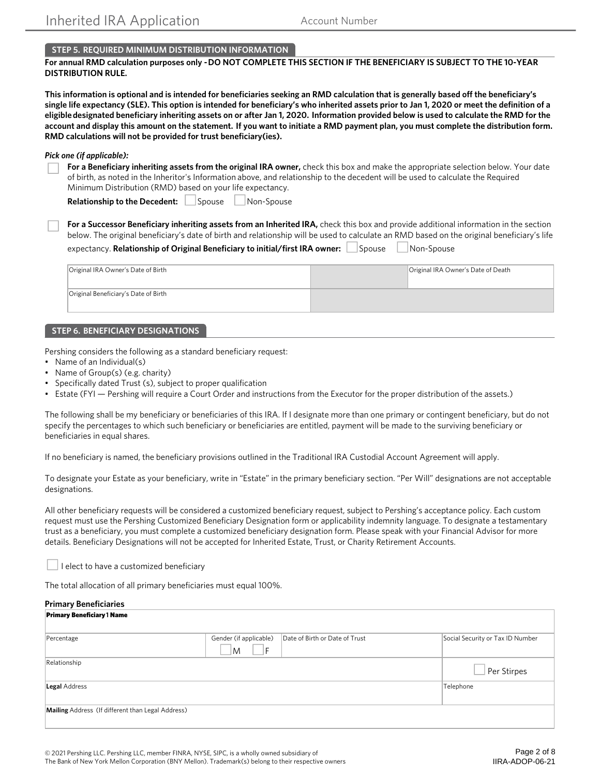# **STEP 5. REQUIRED MINIMUM DISTRIBUTION INFORMATION**

# **For annual RMD calculation purposes only - DO NOT COMPLETE THIS SECTION IF THE BENEFICIARY IS SUBJECT TO THE 10-YEAR DISTRIBUTION RULE.**

**This information is optional and is intended for beneficiaries seeking an RMD calculation that is generally based off the beneficiary's single life expectancy (SLE). This option is intended for beneficiary's who inherited assets prior to Jan 1, 2020 or meet the definition of a eligible designated beneficiary inheriting assets on or after Jan 1, 2020. Information provided below is used to calculate the RMD for the account and display this amount on the statement. If you want to initiate a RMD payment plan, you must complete the distribution form. RMD calculations will not be provided for trust beneficiary(ies).** 

#### *Pick one (if applicable):*

| For a Beneficiary inheriting assets from the original IRA owner, check this box and make the appropriate selection below. Your date   |
|---------------------------------------------------------------------------------------------------------------------------------------|
| of birth, as noted in the Inheritor's Information above, and relationship to the decedent will be used to calculate the Required      |
| Minimum Distribution (RMD) based on your life expectancy.                                                                             |
| Relationship to the Decedent: Spouse Non-Spouse                                                                                       |
| For a Successor Beneficiary inheriting assets from an Inherited IRA, check this box and provide additional information in the section |

below. The original beneficiary's date of birth and relationship will be used to calculate an RMD based on the original beneficiary's life  $\Box$ 

| expectancy. Relationship of Original Beneficiary to initial/first IRA owner: $\Box$ Spouse $\Box$ | Non-Spouse |
|---------------------------------------------------------------------------------------------------|------------|
|                                                                                                   |            |

| Original IRA Owner's Date of Birth   | Original IRA Owner's Date of Death |
|--------------------------------------|------------------------------------|
| Original Beneficiary's Date of Birth |                                    |

### **STEP 6. BENEFICIARY DESIGNATIONS**

Pershing considers the following as a standard beneficiary request:

- Name of an Individual(s)
- Name of Group(s) (e.g. charity)
- Specifically dated Trust (s), subject to proper qualification
- Estate (FYI Pershing will require a Court Order and instructions from the Executor for the proper distribution of the assets.)

The following shall be my beneficiary or beneficiaries of this IRA. If I designate more than one primary or contingent beneficiary, but do not specify the percentages to which such beneficiary or beneficiaries are entitled, payment will be made to the surviving beneficiary or beneficiaries in equal shares.

If no beneficiary is named, the beneficiary provisions outlined in the Traditional IRA Custodial Account Agreement will apply.

To designate your Estate as your beneficiary, write in "Estate" in the primary beneficiary section. "Per Will" designations are not acceptable designations.

All other beneficiary requests will be considered a customized beneficiary request, subject to Pershing's acceptance policy. Each custom request must use the Pershing Customized Beneficiary Designation form or applicability indemnity language. To designate a testamentary trust as a beneficiary, you must complete a customized beneficiary designation form. Please speak with your Financial Advisor for more details. Beneficiary Designations will not be accepted for Inherited Estate, Trust, or Charity Retirement Accounts.

I elect to have a customized beneficiary

The total allocation of all primary beneficiaries must equal 100%.

### **Primary Beneficiaries**

| <b>Primary Beneficiary 1 Name</b>                 |                                   |                                |                                  |
|---------------------------------------------------|-----------------------------------|--------------------------------|----------------------------------|
| Percentage                                        | Gender (if applicable)<br>١F<br>M | Date of Birth or Date of Trust | Social Security or Tax ID Number |
| Relationship                                      |                                   |                                | Per Stirpes                      |
| Legal Address                                     |                                   |                                | Telephone                        |
| Mailing Address (If different than Legal Address) |                                   |                                |                                  |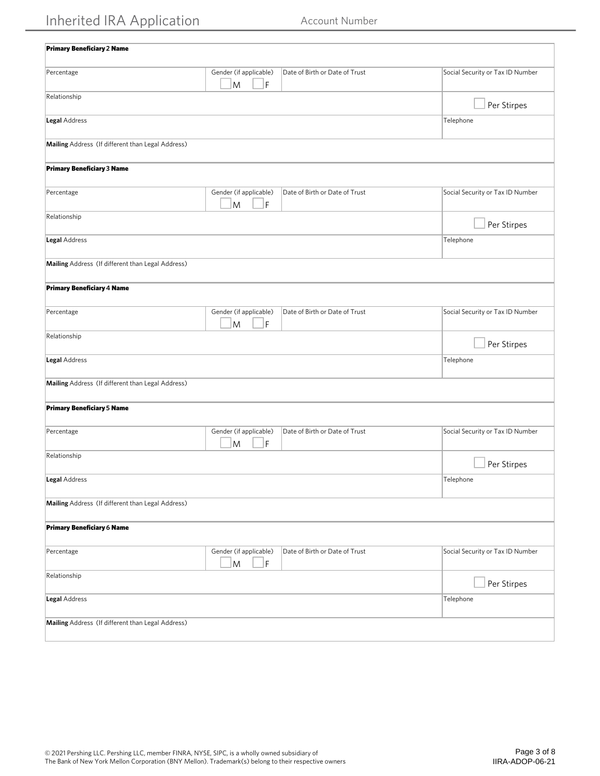| <b>Primary Beneficiary 2 Name</b>                 |                                            |                                |                                  |
|---------------------------------------------------|--------------------------------------------|--------------------------------|----------------------------------|
| Percentage                                        | Gender (if applicable)<br>$\mathsf F$<br>M | Date of Birth or Date of Trust | Social Security or Tax ID Number |
| Relationship                                      |                                            |                                | Per Stirpes                      |
| Legal Address                                     |                                            |                                | Telephone                        |
| Mailing Address (If different than Legal Address) |                                            |                                |                                  |
| Primary Beneficiary 3 Name                        |                                            |                                |                                  |
| Percentage                                        | Gender (if applicable)<br>M<br>$\mathsf F$ | Date of Birth or Date of Trust | Social Security or Tax ID Number |
| Relationship                                      |                                            |                                | Per Stirpes                      |
| Legal Address                                     |                                            |                                | Telephone                        |
| Mailing Address (If different than Legal Address) |                                            |                                |                                  |
| <b>Primary Beneficiary 4 Name</b>                 |                                            |                                |                                  |
| Percentage                                        | Gender (if applicable)<br>F<br>M           | Date of Birth or Date of Trust | Social Security or Tax ID Number |
| Relationship                                      |                                            |                                | Per Stirpes                      |
| Legal Address                                     |                                            |                                | Telephone                        |
| Mailing Address (If different than Legal Address) |                                            |                                |                                  |
| <b>Primary Beneficiary 5 Name</b>                 |                                            |                                |                                  |
| Percentage                                        | Gender (if applicable)<br>F<br>M           | Date of Birth or Date of Trust | Social Security or Tax ID Number |
| Relationship                                      |                                            |                                | Per Stirpes                      |
| <b>Legal Address</b>                              |                                            |                                | Telephone                        |
| Mailing Address (If different than Legal Address) |                                            |                                |                                  |
| Primary Beneficiary 6 Name                        |                                            |                                |                                  |
| Percentage                                        | Gender (if applicable)<br>$\mathsf F$<br>M | Date of Birth or Date of Trust | Social Security or Tax ID Number |
| Relationship                                      |                                            |                                | Per Stirpes                      |
| Legal Address                                     |                                            |                                | Telephone                        |
| Mailing Address (If different than Legal Address) |                                            |                                |                                  |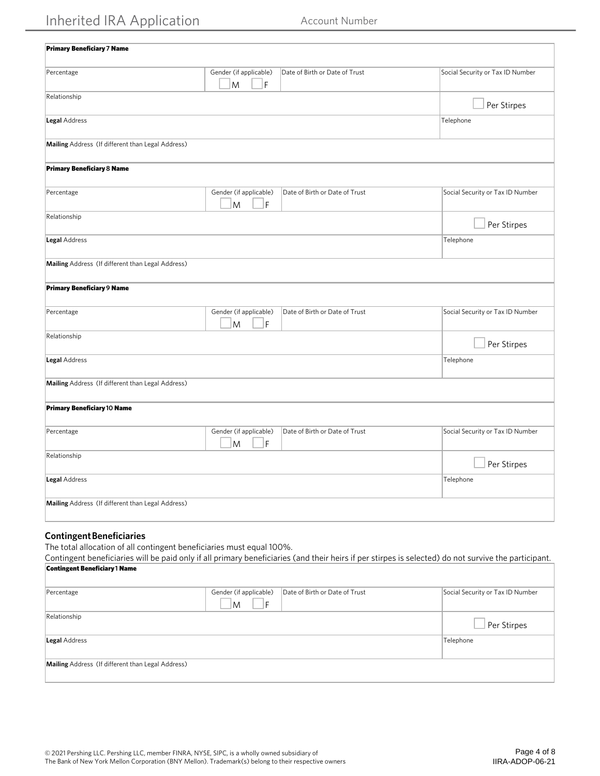| <b>Primary Beneficiary 7 Name</b>                 |                                                                    |                                  |
|---------------------------------------------------|--------------------------------------------------------------------|----------------------------------|
| Percentage                                        | Gender (if applicable)<br>Date of Birth or Date of Trust<br>F<br>M | Social Security or Tax ID Number |
| Relationship                                      |                                                                    | Per Stirpes                      |
| Legal Address                                     |                                                                    | Telephone                        |
| Mailing Address (If different than Legal Address) |                                                                    |                                  |
| <b>Primary Beneficiary 8 Name</b>                 |                                                                    |                                  |
| Percentage                                        | Gender (if applicable)<br>Date of Birth or Date of Trust<br>F<br>M | Social Security or Tax ID Number |
| Relationship                                      |                                                                    | Per Stirpes                      |
| Legal Address                                     |                                                                    | Telephone                        |
| Mailing Address (If different than Legal Address) |                                                                    |                                  |
| <b>Primary Beneficiary 9 Name</b>                 |                                                                    |                                  |
| Percentage                                        | Gender (if applicable)<br>Date of Birth or Date of Trust<br>M<br>F | Social Security or Tax ID Number |
| Relationship                                      |                                                                    | Per Stirpes                      |
| Legal Address                                     |                                                                    | Telephone                        |
| Mailing Address (If different than Legal Address) |                                                                    |                                  |
| <b>Primary Beneficiary 10 Name</b>                |                                                                    |                                  |
| Percentage                                        | Gender (if applicable)<br>Date of Birth or Date of Trust<br>M<br>F | Social Security or Tax ID Number |
| Relationship                                      |                                                                    | Per Stirpes                      |
| Legal Address                                     |                                                                    | Telephone                        |
| Mailing Address (If different than Legal Address) |                                                                    |                                  |
|                                                   |                                                                    |                                  |

# **Contingent Beneficiaries**

The total allocation of all contingent beneficiaries must equal 100%.

Contingent beneficiaries will be paid only if all primary beneficiaries (and their heirs if per stirpes is selected) do not survive the participant. Contingent Beneficiary**1** Name

| Percentage                                        | Gender (if applicable) | Date of Birth or Date of Trust | Social Security or Tax ID Number |
|---------------------------------------------------|------------------------|--------------------------------|----------------------------------|
|                                                   | F<br>M                 |                                |                                  |
| Relationship                                      |                        |                                |                                  |
|                                                   |                        |                                | Per Stirpes                      |
|                                                   |                        |                                |                                  |
| Legal Address                                     |                        |                                | Telephone                        |
|                                                   |                        |                                |                                  |
| Mailing Address (If different than Legal Address) |                        |                                |                                  |
|                                                   |                        |                                |                                  |
|                                                   |                        |                                |                                  |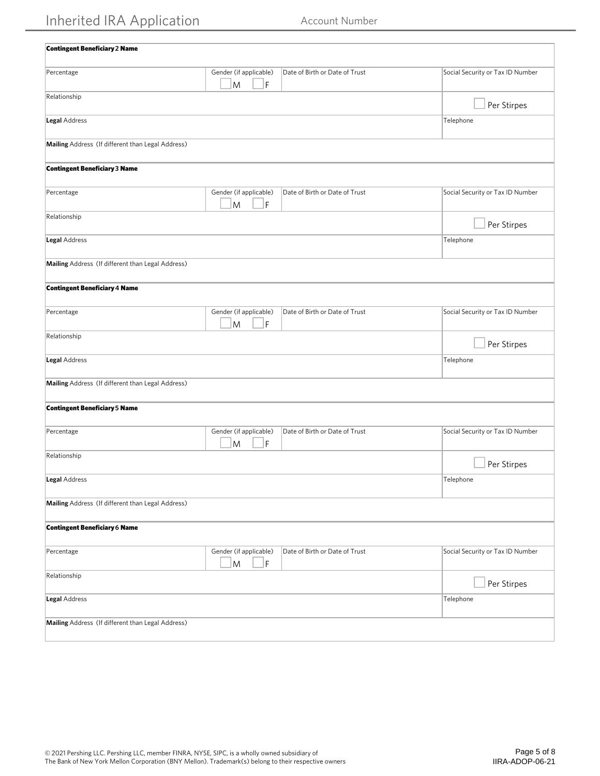| <b>Contingent Beneficiary 2 Name</b>              |                                                                                                                                                     |                                |                                  |
|---------------------------------------------------|-----------------------------------------------------------------------------------------------------------------------------------------------------|--------------------------------|----------------------------------|
|                                                   |                                                                                                                                                     |                                |                                  |
| Percentage                                        | Gender (if applicable)<br>F<br>M                                                                                                                    | Date of Birth or Date of Trust | Social Security or Tax ID Number |
| Relationship                                      |                                                                                                                                                     |                                | Per Stirpes                      |
| Legal Address                                     |                                                                                                                                                     |                                | Telephone                        |
| Mailing Address (If different than Legal Address) |                                                                                                                                                     |                                |                                  |
| <b>Contingent Beneficiary 3 Name</b>              |                                                                                                                                                     |                                |                                  |
| Percentage                                        | Gender (if applicable)<br>M<br>F                                                                                                                    | Date of Birth or Date of Trust | Social Security or Tax ID Number |
| Relationship                                      |                                                                                                                                                     |                                | Per Stirpes                      |
| Legal Address                                     |                                                                                                                                                     |                                | Telephone                        |
| Mailing Address (If different than Legal Address) |                                                                                                                                                     |                                |                                  |
| <b>Contingent Beneficiary 4 Name</b>              |                                                                                                                                                     |                                |                                  |
| Percentage                                        | Gender (if applicable)<br>$\mathsf F$<br>M                                                                                                          | Date of Birth or Date of Trust | Social Security or Tax ID Number |
| Relationship                                      |                                                                                                                                                     |                                | Per Stirpes                      |
| Legal Address                                     |                                                                                                                                                     |                                | Telephone                        |
| Mailing Address (If different than Legal Address) |                                                                                                                                                     |                                |                                  |
| <b>Contingent Beneficiary 5 Name</b>              |                                                                                                                                                     |                                |                                  |
| Percentage                                        | Gender (if applicable)<br>F<br>M                                                                                                                    | Date of Birth or Date of Trust | Social Security or Tax ID Number |
| Relationship                                      |                                                                                                                                                     |                                | Per Stirpes                      |
| Legal Address                                     |                                                                                                                                                     |                                | Telephone                        |
| Mailing Address (If different than Legal Address) |                                                                                                                                                     |                                |                                  |
| <b>Contingent Beneficiary 6 Name</b>              |                                                                                                                                                     |                                |                                  |
| Percentage                                        | Gender (if applicable)<br>$\mathsf F$<br>$\mathsf{M}% _{T}=\mathsf{M}_{T}\!\left( a,b\right) ,\ \mathsf{M}_{T}=\mathsf{M}_{T}\!\left( a,b\right) ,$ | Date of Birth or Date of Trust | Social Security or Tax ID Number |
| Relationship                                      |                                                                                                                                                     |                                | Per Stirpes                      |
| Legal Address                                     |                                                                                                                                                     |                                | Telephone                        |
| Mailing Address (If different than Legal Address) |                                                                                                                                                     |                                |                                  |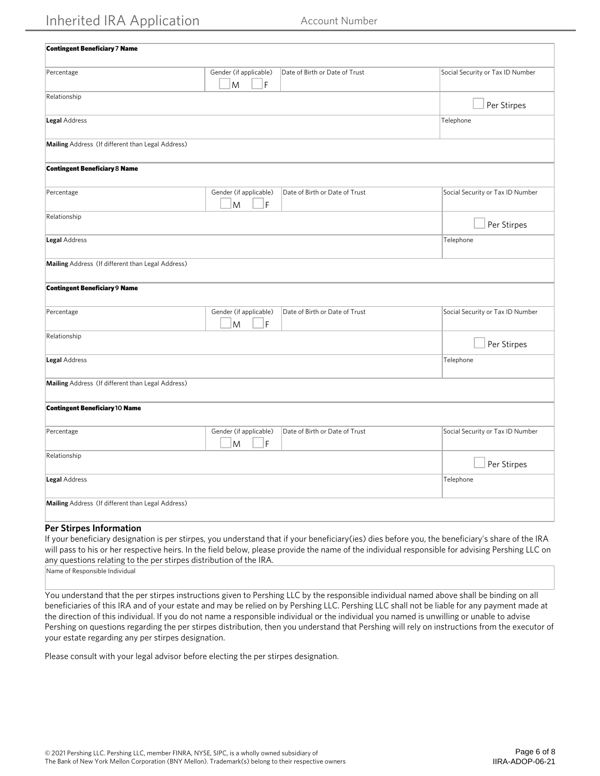| <b>Contingent Beneficiary 7 Name</b>              |                                  |                                |                                  |
|---------------------------------------------------|----------------------------------|--------------------------------|----------------------------------|
| Percentage                                        | Gender (if applicable)<br>F<br>M | Date of Birth or Date of Trust | Social Security or Tax ID Number |
| Relationship                                      |                                  |                                | Per Stirpes                      |
| Legal Address                                     |                                  |                                | Telephone                        |
| Mailing Address (If different than Legal Address) |                                  |                                |                                  |
| <b>Contingent Beneficiary 8 Name</b>              |                                  |                                |                                  |
| Percentage                                        | Gender (if applicable)<br>F<br>M | Date of Birth or Date of Trust | Social Security or Tax ID Number |
| Relationship                                      |                                  |                                | Per Stirpes                      |
| Legal Address                                     |                                  |                                | Telephone                        |
| Mailing Address (If different than Legal Address) |                                  |                                |                                  |
| <b>Contingent Beneficiary 9 Name</b>              |                                  |                                |                                  |
| Percentage                                        | Gender (if applicable)<br>M<br>F | Date of Birth or Date of Trust | Social Security or Tax ID Number |
| Relationship                                      |                                  |                                | Per Stirpes                      |
| <b>Legal Address</b>                              |                                  |                                | Telephone                        |
| Mailing Address (If different than Legal Address) |                                  |                                |                                  |
| <b>Contingent Beneficiary 10 Name</b>             |                                  |                                |                                  |
| Percentage                                        | Gender (if applicable)<br>F<br>M | Date of Birth or Date of Trust | Social Security or Tax ID Number |
| Relationship                                      |                                  |                                | Per Stirpes                      |
| Legal Address                                     |                                  |                                | Telephone                        |
| Mailing Address (If different than Legal Address) |                                  |                                |                                  |
| $-1$<br>$\sim$ $\sim$                             |                                  |                                |                                  |

# **Per Stirpes Information**

If your beneficiary designation is per stirpes, you understand that if your beneficiary(ies) dies before you, the beneficiary's share of the IRA will pass to his or her respective heirs. In the field below, please provide the name of the individual responsible for advising Pershing LLC on any questions relating to the per stirpes distribution of the IRA.

Name of Responsible Individual

You understand that the per stirpes instructions given to Pershing LLC by the responsible individual named above shall be binding on all beneficiaries of this IRA and of your estate and may be relied on by Pershing LLC. Pershing LLC shall not be liable for any payment made at the direction of this individual. If you do not name a responsible individual or the individual you named is unwilling or unable to advise Pershing on questions regarding the per stirpes distribution, then you understand that Pershing will rely on instructions from the executor of your estate regarding any per stirpes designation.

Please consult with your legal advisor before electing the per stirpes designation.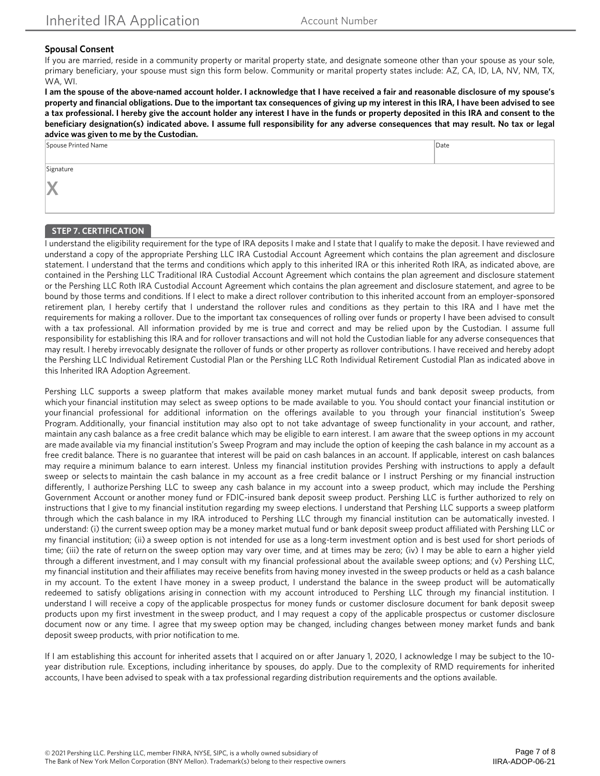## **Spousal Consent**

If you are married, reside in a community property or marital property state, and designate someone other than your spouse as your sole, primary beneficiary, your spouse must sign this form below. Community or marital property states include: AZ, CA, ID, LA, NV, NM, TX, WA, WI.

**I am the spouse of the above-named account holder. I acknowledge that I have received a fair and reasonable disclosure of my spouse's property and financial obligations. Due to the important tax consequences of giving up my interest in this IRA, I have been advised to see a tax professional. I hereby give the account holder any interest I have in the funds or property deposited in this IRA and consent to the beneficiary designation(s) indicated above. I assume full responsibility for any adverse consequences that may result. No tax or legal advice was given to me by the Custodian.**

| Spouse Printed Name | Date |
|---------------------|------|
|                     |      |
| Signature           |      |
|                     |      |
| X                   |      |
|                     |      |

## **STEP 7. CERTIFICATION**

I understand the eligibility requirement for the type of IRA deposits I make and I state that I qualify to make the deposit. I have reviewed and understand a copy of the appropriate Pershing LLC IRA Custodial Account Agreement which contains the plan agreement and disclosure statement. I understand that the terms and conditions which apply to this inherited IRA or this inherited Roth IRA, as indicated above, are contained in the Pershing LLC Traditional IRA Custodial Account Agreement which contains the plan agreement and disclosure statement or the Pershing LLC Roth IRA Custodial Account Agreement which contains the plan agreement and disclosure statement, and agree to be bound by those terms and conditions. If I elect to make a direct rollover contribution to this inherited account from an employer-sponsored retirement plan, I hereby certify that I understand the rollover rules and conditions as they pertain to this IRA and I have met the requirements for making a rollover. Due to the important tax consequences of rolling over funds or property I have been advised to consult with a tax professional. All information provided by me is true and correct and may be relied upon by the Custodian. I assume full responsibility for establishing this IRA and for rollover transactions and will not hold the Custodian liable for any adverse consequences that may result. I hereby irrevocably designate the rollover of funds or other property as rollover contributions. I have received and hereby adopt the Pershing LLC Individual Retirement Custodial Plan or the Pershing LLC Roth Individual Retirement Custodial Plan as indicated above in this Inherited IRA Adoption Agreement.

Pershing LLC supports a sweep platform that makes available money market mutual funds and bank deposit sweep products, from which your financial institution may select as sweep options to be made available to you. You should contact your financial institution or your financial professional for additional information on the offerings available to you through your financial institution's Sweep Program. Additionally, your financial institution may also opt to not take advantage of sweep functionality in your account, and rather, maintain any cash balance as a free credit balance which may be eligible to earn interest. I am aware that the sweep options in my account are made available via my financial institution's Sweep Program and may include the option of keeping the cash balance in my account as a free credit balance. There is no guarantee that interest will be paid on cash balances in an account. If applicable, interest on cash balances may require a minimum balance to earn interest. Unless my financial institution provides Pershing with instructions to apply a default sweep or selects to maintain the cash balance in my account as a free credit balance or I instruct Pershing or my financial instruction differently, I authorize Pershing LLC to sweep any cash balance in my account into a sweep product, which may include the Pershing Government Account or another money fund or FDIC-insured bank deposit sweep product. Pershing LLC is further authorized to rely on instructions that I give to my financial institution regarding my sweep elections. I understand that Pershing LLC supports a sweep platform through which the cash balance in my IRA introduced to Pershing LLC through my financial institution can be automatically invested. I understand: (i) the current sweep option may be a money market mutual fund or bank deposit sweep product affiliated with Pershing LLC or my financial institution; (ii) a sweep option is not intended for use as a long-term investment option and is best used for short periods of time; (iii) the rate of return on the sweep option may vary over time, and at times may be zero; (iv) I may be able to earn a higher yield through a different investment, and I may consult with my financial professional about the available sweep options; and (v) Pershing LLC, my financial institution and their affiliates may receive benefits from having money invested in the sweep products or held as a cash balance in my account. To the extent I have money in a sweep product, I understand the balance in the sweep product will be automatically redeemed to satisfy obligations arising in connection with my account introduced to Pershing LLC through my financial institution. I understand I will receive a copy of the applicable prospectus for money funds or customer disclosure document for bank deposit sweep products upon my first investment in the sweep product, and I may request a copy of the applicable prospectus or customer disclosure document now or any time. I agree that my sweep option may be changed, including changes between money market funds and bank deposit sweep products, with prior notification to me.

If I am establishing this account for inherited assets that I acquired on or after January 1, 2020, I acknowledge I may be subject to the 10 year distribution rule. Exceptions, including inheritance by spouses, do apply. Due to the complexity of RMD requirements for inherited accounts, I have been advised to speak with a tax professional regarding distribution requirements and the options available.